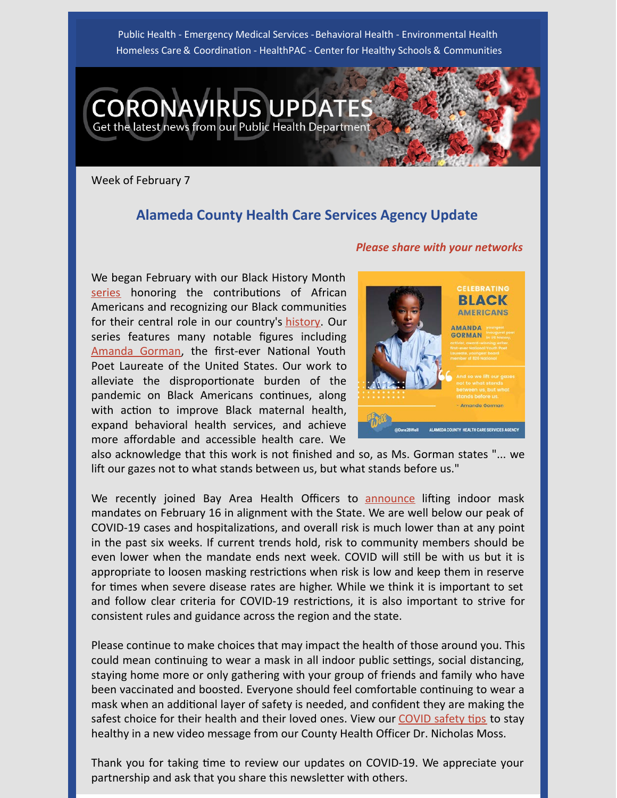Public Health - Emergency Medical Services - Behavioral Health - Environmental Health Homeless Care & Coordination - HealthPAC - Center for Healthy Schools & Communities



Week of February 7

# **Alameda County Health Care Services Agency Update**

#### *Please share with your networks*

We began February with our Black History Month [series](https://twitter.com/Dare2BWell/status/1488677305190858754) honoring the contributions of African Americans and recognizing our Black communities for their central role in our country's [history](https://www.npr.org/2022/02/01/1075623826/why-is-february-black-history-month). Our series features many notable figures including [Amanda Gorman](https://poets.org/poet/amanda-gorman), the first-ever National Youth Poet Laureate of the United States. Our work to alleviate the disproportionate burden of the pandemic on Black Americans continues, along with action to improve Black maternal health, expand behavioral health services, and achieve more affordable and accessible health care. We



also acknowledge that this work is not finished and so, as Ms. Gorman states "... we lift our gazes not to what stands between us, but what stands before us."

We recently joined Bay Area Health Officers to [announce](https://files.constantcontact.com/dbe334f7701/c0f5fa8e-bfe1-47f5-84dc-78fd11fbeb2c.pdf) lifting indoor mask mandates on February 16 in alignment with the State. We are well below our peak of COVID-19 cases and hospitalizations, and overall risk is much lower than at any point in the past six weeks. If current trends hold, risk to community members should be even lower when the mandate ends next week. COVID will still be with us but it is appropriate to loosen masking restrictions when risk is low and keep them in reserve for times when severe disease rates are higher. While we think it is important to set and follow clear criteria for COVID-19 restrictions, it is also important to strive for consistent rules and guidance across the region and the state.

Please continue to make choices that may impact the health of those around you. This could mean continuing to wear a mask in all indoor public settings, social distancing, staying home more or only gathering with your group of friends and family who have been vaccinated and boosted. Everyone should feel comfortable continuing to wear a mask when an additional layer of safety is needed, and confident they are making the safest choice for their health and their loved ones. View our COVID safety tips to stay healthy in a new video message from our County Health Officer Dr. Nicholas Moss.

Thank you for taking time to review our updates on COVID-19. We appreciate your partnership and ask that you share this newsletter with others.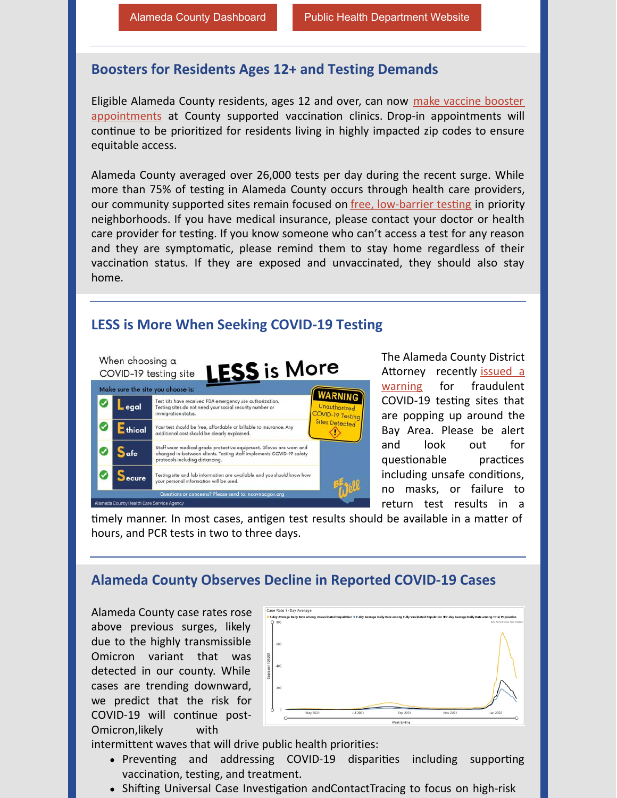#### **Boosters for Residents Ages 12+ and Testing Demands**

[Eligible Alameda County residents, ages 12 and over, can now make vaccine booster](https://my.primary.health/l/alco-vax-signup) appointments at County supported vaccination clinics. Drop-in appointments will continue to be prioritized for residents living in highly impacted zip codes to ensure equitable access.

Alameda County averaged over 26,000 tests per day during the recent surge. While more than 75% of testing in Alameda County occurs through health care providers, our community supported sites remain focused on free, low-barrier testing in priority neighborhoods. If you have medical insurance, please contact your doctor or health care provider for testing. If you know someone who can't access a test for any reason and they are symptomatic, please remind them to stay home regardless of their vaccination status. If they are exposed and unvaccinated, they should also stay home.

### **LESS is More When Seeking COVID-19 Testing**



The Alameda County District Attorney recently issued a warning for fraudulent COVID-19 testing sites that are popping up around the Bay Area. Please be alert and look out for questionable practices including unsafe conditions, no masks, or failure to return test results in a

timely manner. In most cases, antigen test results should be available in a matter of hours, and PCR tests in two to three days.

#### **Alameda County Observes Decline in Reported COVID-19 Cases**

Alameda County case rates rose above previous surges, likely due to the highly transmissible Omicron variant that was detected in our county. While cases are trending downward, we predict that the risk for COVID-19 will continue post-Omicron,likely with



intermittent waves that will drive public health priorities:

- Preventing and addressing COVID-19 disparities including supporting vaccination, testing, and treatment.
- Shifting Universal Case Investigation andContactTracing to focus on high-risk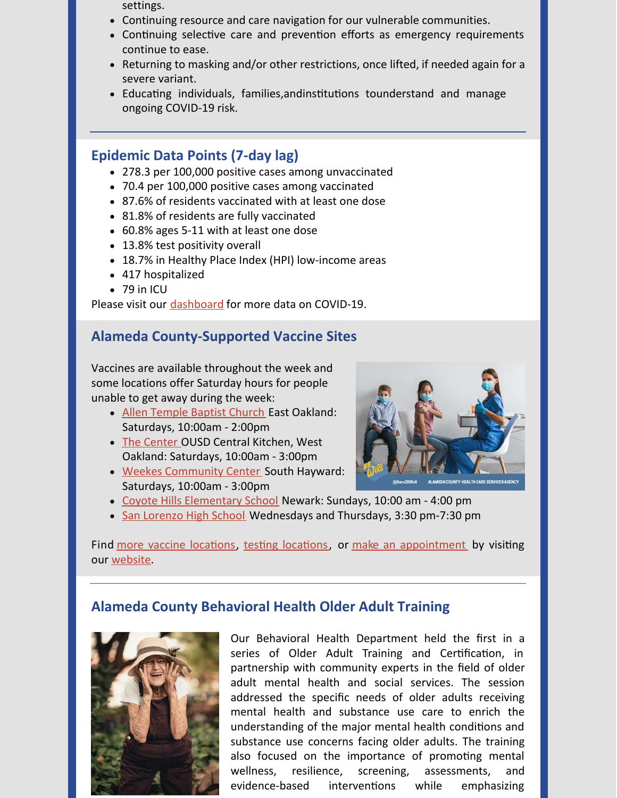- settings.
- Continuing resource and care navigation for our vulnerable communities.
- Continuing selective care and prevention efforts as emergency requirements continue to ease.
- Returning to masking and/or other restrictions, once lifted, if needed again for a severe variant.
- Educating individuals, families, and institutions tounderstand and manage ongoing COVID-19 risk.

### **Epidemic Data Points (7-day lag)**

- 278.3 per 100,000 positive cases among unvaccinated
- 70.4 per 100,000 positive cases among vaccinated
- 87.6% of residents vaccinated with at least one dose
- 81.8% of residents are fully vaccinated
- 60.8% ages 5-11 with at least one dose
- 13.8% test positivity overall
- 18.7% in Healthy Place Index (HPI) low-income areas
- 417 hospitalized
- $\bullet$  79 in ICU

Please visit our [dashboard](https://covid-19.acgov.org/data) for more data on COVID-19.

# **Alameda County-Supported Vaccine Sites**

Vaccines are available throughout the week and some locations offer Saturday hours for people unable to get away during the week:

- [Allen Temple Baptist Church](https://files.constantcontact.com/dbe334f7701/8d0936d9-1de2-436c-99e7-459f28661589.pdf) East Oakland: Saturdays, 10:00am - 2:00pm
- [The Center](https://files.constantcontact.com/dbe334f7701/9e5745fe-8da0-4329-b869-04b2d43f039a.pdf) OUSD Central Kitchen, West Oakland: Saturdays, 10:00am - 3:00pm
- [Weekes Community Center](https://files.constantcontact.com/dbe334f7701/107f17da-8ea7-4cac-a4c2-543fdbe2b23e.pdf) South Hayward: Saturdays, 10:00am - 3:00pm



- [Coyote Hills Elementary School](https://files.constantcontact.com/dbe334f7701/9ae9c2c9-aaa4-478a-b8f6-1767ae17e59c.pdf) Newark: Sundays, 10:00 am 4:00 pm
- [San Lorenzo High School](https://files.constantcontact.com/dbe334f7701/4d2caced-7723-40e9-b2f2-25468ef54fc6.pdf) Wednesdays and Thursdays, 3:30 pm-7:30 pm

Find more vaccine locations, testing locations, or [make an appointment](https://my.primary.health/l/alco-vax-signup) by visiting our [website](https://covid-19.acgov.org/vaccines).

### **Alameda County Behavioral Health Older Adult Training**



Our Behavioral Health Department held the first in a series of Older Adult Training and Certification, in partnership with community experts in the field of older adult mental health and social services. The session addressed the specific needs of older adults receiving mental health and substance use care to enrich the understanding of the major mental health conditions and substance use concerns facing older adults. The training also focused on the importance of promoting mental wellness, resilience, screening, assessments, and evidence-based interventions while emphasizing